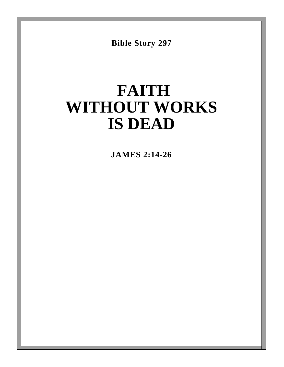**Bible Story 297**

# **FAITH WITHOUT WORKS IS DEAD**

**JAMES 2:14-26**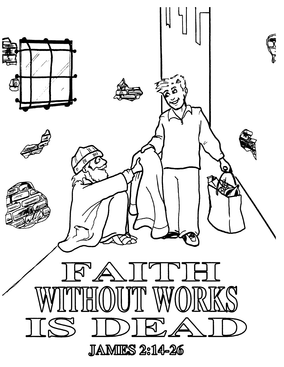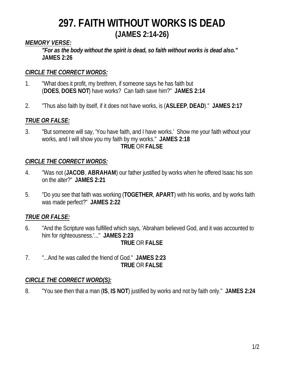### *MEMORY VERSE:*

*"For as the body without the spirit is dead, so faith without works is dead also."* **JAMES 2:26**

### *CIRCLE THE CORRECT WORDS:*

- 1. "What does it profit, my brethren, if someone says he has faith but (**DOES**, **DOES NOT**) have works? Can faith save him?" **JAMES 2:14**
- 2. "Thus also faith by itself, if it does not have works, is (**ASLEEP**, **DEAD**)." **JAMES 2:17**

### *TRUE OR FALSE:*

3. "But someone will say, 'You have faith, and I have works.' Show me your faith without your works, and I will show you my faith by my works." **JAMES 2:18 TRUE** OR **FALSE**

### *CIRCLE THE CORRECT WORDS:*

- 4. "Was not (**JACOB**, **ABRAHAM**) our father justified by works when he offered Isaac his son on the alter?" **JAMES 2:21**
- 5. "Do you see that faith was working (**TOGETHER**, **APART**) with his works, and by works faith was made perfect?" **JAMES 2:22**

### *TRUE OR FALSE:*

- 6. "And the Scripture was fulfilled which says, 'Abraham believed God, and it was accounted to him for righteousness.'..." **JAMES 2:23 TRUE** OR **FALSE**
- 7. "...And he was called the friend of God." **JAMES 2:23 TRUE** OR **FALSE**

### *CIRCLE THE CORRECT WORD(S):*

8. "You see then that a man (**IS**, **IS NOT**) justified by works and not by faith only." **JAMES 2:24**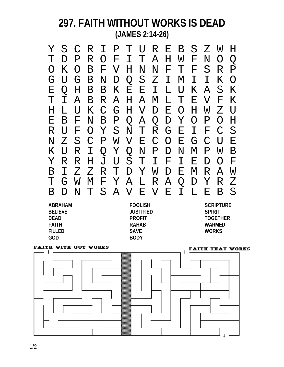|            |                  |               |                 |              | S C R I P T U R E B S Z W |  |                 |              |                 |               |               | H                         |
|------------|------------------|---------------|-----------------|--------------|---------------------------|--|-----------------|--------------|-----------------|---------------|---------------|---------------------------|
|            |                  | $\mathbf P$   | R               |              | O F I T A H W F           |  |                 |              |                 | $\rm N$       | $\bigcirc$    | O                         |
| $\bigcirc$ | K                | $\bigcirc$    | $\mathbf B$     |              | F V H N N F T             |  |                 |              | $\mathbf{F}$    | S             | R             | $\mathbf P$               |
| G          | U                | G             | $\mathbf B$     | $N_{\rm \,}$ | D                         |  | Q S Z I M       |              | $\mathbf I$     | $\mathbf T$   | K             | $\bigcirc$                |
| Ε          | $\bigcirc$       | H             |                 |              | <b>BBKEEILU</b>           |  |                 |              | $K_{-}$         | $\mathcal{A}$ | S             | K                         |
|            |                  | $\mathcal{A}$ | $\mathbf B$     |              | R A H A M                 |  |                 |              | L T E           | $\rm V$       | $\mathbf{F}$  | K                         |
|            |                  | U             | $K_{\parallel}$ |              | C G H V D E O             |  |                 |              | $H_{\parallel}$ | W             | $Z_{\rm}$     | $\overline{U}$            |
| Ε          | $\mathbf B$      | F             |                 | N B          |                           |  | P Q A Q D Y O P |              |                 |               | $\bigcirc$    | H                         |
| R          | $\mathbf{U}$     | F             | $\bigcirc$      |              | Y S N T R G E             |  |                 |              |                 | I F           | $\mathcal{C}$ | S                         |
| Ν          | $Z_{\mathsf{I}}$ | $S_{-}$       | $\mathcal{C}$   |              | P W V E C                 |  |                 | O E          | G               | $\mathcal{C}$ | $\mathbf{U}$  | $\boldsymbol{\mathrm{E}}$ |
| K.         |                  | R             | $\mathbf I$     |              | Q Y Q N P D N             |  |                 |              | M P             |               | W             | Β                         |
|            | R                | $\mathbb R$   | H               | J            |                           |  | USTIFI          |              | $\mathbf{E}$    | D             | $\bigcap$     | $\mathbf{F}$              |
|            |                  | Z             | Z               | $\mathbb{R}$ | $\mathbb{T}$              |  | D Y W D         | $\mathbf{E}$ | $\mathbf M$     | R             | $\mathcal{A}$ | W                         |
|            |                  | W             | M               |              | F Y A L R A               |  |                 | Q            | $\mathbf D$     | Y             | $\mathbb{R}$  | Z                         |
|            |                  | $\mathbf N$   |                 |              | SAVEVE                    |  |                 | $\mathbf T$  | L               | F.            |               | S                         |

**GOD BODY**

**BELIEVE JUSTIFIED SPIRIT FAITH RAHAB WARMED FILLED SAVE WORKS**

**ABRAHAM FOOLISH SCRIPTURE DEAD PROFIT TOGETHER**

#### **FAITH WITH OUT WORKS**

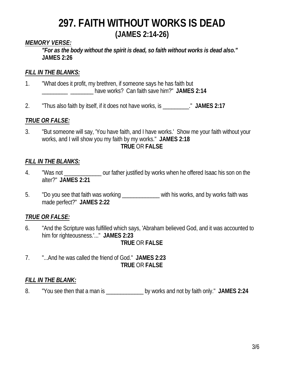### *MEMORY VERSE:*

*"For as the body without the spirit is dead, so faith without works is dead also."* **JAMES 2:26**

#### *FILL IN THE BLANKS:*

- 1. "What does it profit, my brethren, if someone says he has faith but \_\_\_\_\_\_\_\_\_ \_\_\_\_\_\_\_\_ have works? Can faith save him?" **JAMES 2:14**
- 2. "Thus also faith by itself, if it does not have works, is \_\_\_\_\_\_\_\_\_." **JAMES 2:17**

### *TRUE OR FALSE:*

3. "But someone will say, 'You have faith, and I have works.' Show me your faith without your works, and I will show you my faith by my works." **JAMES 2:18 TRUE** OR **FALSE**

### *FILL IN THE BLANKS:*

- 4. "Was not \_\_\_\_\_\_\_\_\_\_\_\_\_ our father justified by works when he offered Isaac his son on the alter?" **JAMES 2:21**
- 5. "Do you see that faith was working **with his works**, and by works faith was made perfect?" **JAMES 2:22**

### *TRUE OR FALSE:*

- 6. "And the Scripture was fulfilled which says, 'Abraham believed God, and it was accounted to him for righteousness.'..." **JAMES 2:23 TRUE** OR **FALSE**
- 7. "...And he was called the friend of God." **JAMES 2:23 TRUE** OR **FALSE**

#### *FILL IN THE BLANK:*

8. "You see then that a man is by works and not by faith only." JAMES 2:24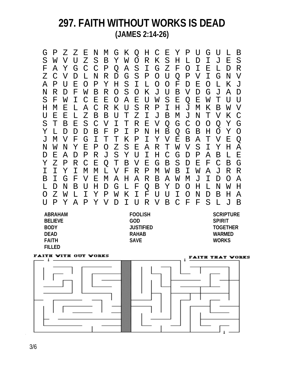G P Z Z E N M G K Q H C E Y P U G U L B S W V U Z S B Y W O R K S H L D I J E S F A Y G C C P Q A S I G Z F O I E L D R Z C V D L N R D G S P O U Q P V I G N V A P U E O P Y H S I L O O F D E O L K J N R D F W B R O S O K J U B V D G J A D S F W I C E E O A E U W S E Q E W T U U H M E L A C R K U S R P I H J M K B W V U E E L Z B B U T Z I J B M J N T V K C S T B E S C V I T R E V Q G C O O Q Y G Y L D D D B F P I P N H B Q G B H O Y O J M V F G I T T K P I Y V E B A T V E Q N W N Y E P O Z S E A R T W V S I Y H A D E A D P R J S Y U I H C G D P A B L E Y Z P R C E Q T B V E G B S D E F C B G I I Y I M M L V F R P M W B I W A J R R B I G F V E M A H A R B A W M J I D O A L D N B U H D G L F Q B Y D O H L N W H O Z W L I Y P W K I F U U I O N D B H A U P Y A P Y V D I U R V B C F F S L J B

| <b>ABRAHAM</b> | <b>FOOLISH</b>   | <b>SCRIPTURE</b> |
|----------------|------------------|------------------|
| <b>BELIEVE</b> | GOD              | <b>SPIRIT</b>    |
| <b>BODY</b>    | <b>JUSTIFIED</b> | <b>TOGETHER</b>  |
| <b>DEAD</b>    | <b>RAHAB</b>     | <b>WARMFD</b>    |
| <b>FAITH</b>   | <b>SAVF</b>      | <b>WORKS</b>     |
| <b>FILLED</b>  |                  |                  |



3/6